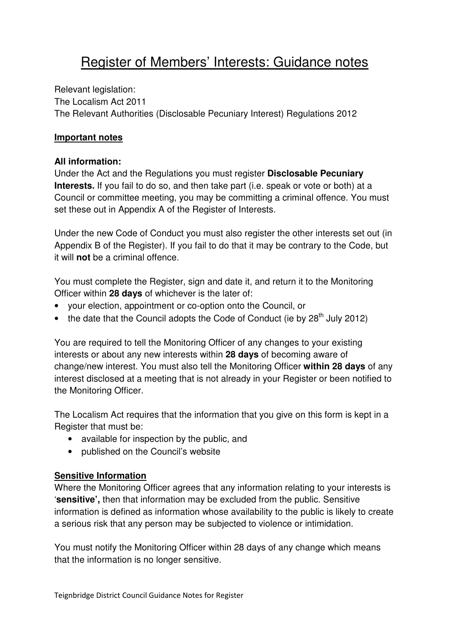# Register of Members' Interests: Guidance notes

Relevant legislation: The Localism Act 2011 The Relevant Authorities (Disclosable Pecuniary Interest) Regulations 2012

#### **Important notes**

#### **All information:**

Under the Act and the Regulations you must register **Disclosable Pecuniary Interests.** If you fail to do so, and then take part (i.e. speak or vote or both) at a Council or committee meeting, you may be committing a criminal offence. You must set these out in Appendix A of the Register of Interests.

Under the new Code of Conduct you must also register the other interests set out (in Appendix B of the Register). If you fail to do that it may be contrary to the Code, but it will **not** be a criminal offence.

You must complete the Register, sign and date it, and return it to the Monitoring Officer within **28 days** of whichever is the later of:

- your election, appointment or co-option onto the Council, or
- the date that the Council adopts the Code of Conduct (ie by  $28<sup>th</sup>$  July 2012)

You are required to tell the Monitoring Officer of any changes to your existing interests or about any new interests within **28 days** of becoming aware of change/new interest. You must also tell the Monitoring Officer **within 28 days** of any interest disclosed at a meeting that is not already in your Register or been notified to the Monitoring Officer.

The Localism Act requires that the information that you give on this form is kept in a Register that must be:

- available for inspection by the public, and
- published on the Council's website

### **Sensitive Information**

Where the Monitoring Officer agrees that any information relating to your interests is '**sensitive',** then that information may be excluded from the public. Sensitive information is defined as information whose availability to the public is likely to create a serious risk that any person may be subjected to violence or intimidation.

You must notify the Monitoring Officer within 28 days of any change which means that the information is no longer sensitive.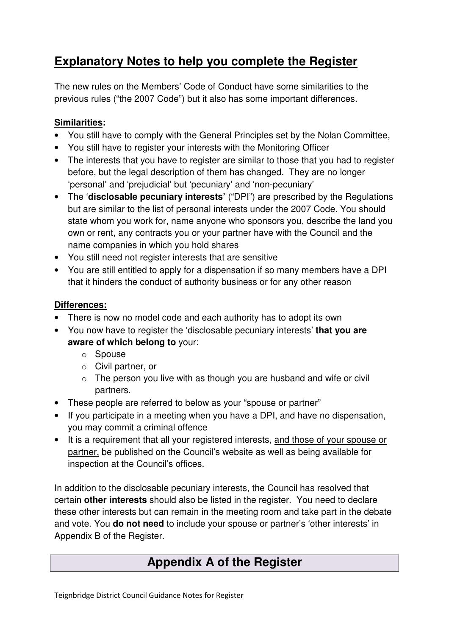## **Explanatory Notes to help you complete the Register**

The new rules on the Members' Code of Conduct have some similarities to the previous rules ("the 2007 Code") but it also has some important differences.

### **Similarities:**

- You still have to comply with the General Principles set by the Nolan Committee,
- You still have to register your interests with the Monitoring Officer
- The interests that you have to register are similar to those that you had to register before, but the legal description of them has changed. They are no longer 'personal' and 'prejudicial' but 'pecuniary' and 'non-pecuniary'
- The '**disclosable pecuniary interests'** ("DPI") are prescribed by the Regulations but are similar to the list of personal interests under the 2007 Code. You should state whom you work for, name anyone who sponsors you, describe the land you own or rent, any contracts you or your partner have with the Council and the name companies in which you hold shares
- You still need not register interests that are sensitive
- You are still entitled to apply for a dispensation if so many members have a DPI that it hinders the conduct of authority business or for any other reason

### **Differences:**

- There is now no model code and each authority has to adopt its own
- You now have to register the 'disclosable pecuniary interests' **that you are aware of which belong to** your:
	- o Spouse
	- o Civil partner, or
	- $\circ$  The person you live with as though you are husband and wife or civil partners.
- These people are referred to below as your "spouse or partner"
- If you participate in a meeting when you have a DPI, and have no dispensation, you may commit a criminal offence
- It is a requirement that all your registered interests, and those of your spouse or partner, be published on the Council's website as well as being available for inspection at the Council's offices.

In addition to the disclosable pecuniary interests, the Council has resolved that certain **other interests** should also be listed in the register. You need to declare these other interests but can remain in the meeting room and take part in the debate and vote. You **do not need** to include your spouse or partner's 'other interests' in Appendix B of the Register.

### **Appendix A of the Register**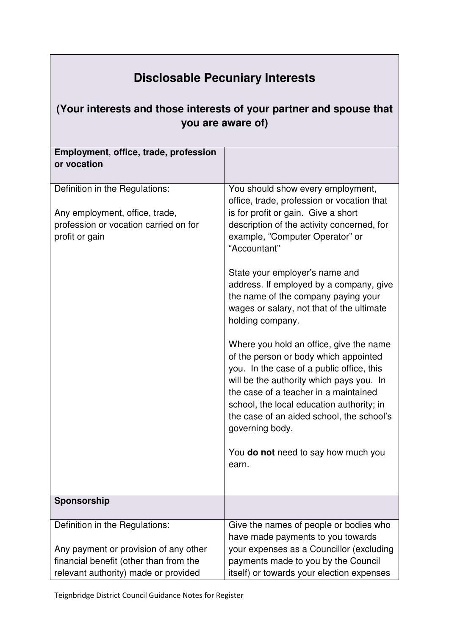# **Disclosable Pecuniary Interests**

### **(Your interests and those interests of your partner and spouse that you are aware of)**

| Employment, office, trade, profession<br>or vocation<br>Definition in the Regulations:<br>You should show every employment,<br>office, trade, profession or vocation that<br>is for profit or gain. Give a short<br>Any employment, office, trade,<br>profession or vocation carried on for<br>description of the activity concerned, for<br>profit or gain<br>example, "Computer Operator" or |
|------------------------------------------------------------------------------------------------------------------------------------------------------------------------------------------------------------------------------------------------------------------------------------------------------------------------------------------------------------------------------------------------|
|                                                                                                                                                                                                                                                                                                                                                                                                |
|                                                                                                                                                                                                                                                                                                                                                                                                |
| "Accountant"                                                                                                                                                                                                                                                                                                                                                                                   |
| State your employer's name and<br>address. If employed by a company, give<br>the name of the company paying your<br>wages or salary, not that of the ultimate<br>holding company.                                                                                                                                                                                                              |
| Where you hold an office, give the name<br>of the person or body which appointed<br>you. In the case of a public office, this<br>will be the authority which pays you. In<br>the case of a teacher in a maintained<br>school, the local education authority; in<br>the case of an aided school, the school's<br>governing body.                                                                |
| You <b>do not</b> need to say how much you<br>earn.                                                                                                                                                                                                                                                                                                                                            |
| Sponsorship                                                                                                                                                                                                                                                                                                                                                                                    |
| Definition in the Regulations:<br>Give the names of people or bodies who<br>have made payments to you towards                                                                                                                                                                                                                                                                                  |
| Any payment or provision of any other<br>your expenses as a Councillor (excluding                                                                                                                                                                                                                                                                                                              |
| financial benefit (other than from the<br>payments made to you by the Council                                                                                                                                                                                                                                                                                                                  |
| relevant authority) made or provided<br>itself) or towards your election expenses                                                                                                                                                                                                                                                                                                              |

Teignbridge District Council Guidance Notes for Register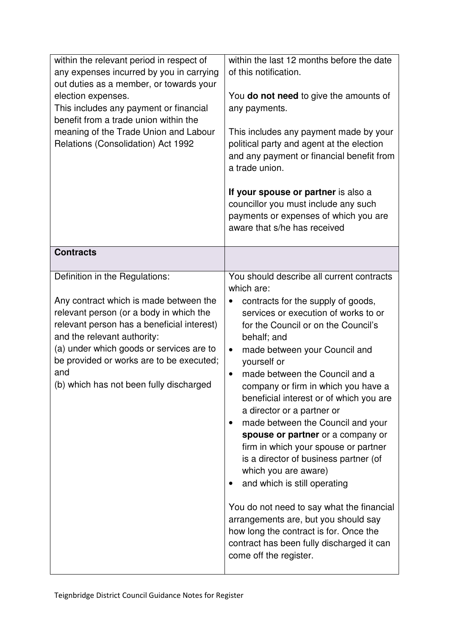| within the relevant period in respect of<br>any expenses incurred by you in carrying<br>out duties as a member, or towards your<br>election expenses.<br>This includes any payment or financial<br>benefit from a trade union within the<br>meaning of the Trade Union and Labour<br>Relations (Consolidation) Act 1992                    | within the last 12 months before the date<br>of this notification.<br>You do not need to give the amounts of<br>any payments.<br>This includes any payment made by your<br>political party and agent at the election<br>and any payment or financial benefit from<br>a trade union.<br>If your spouse or partner is also a<br>councillor you must include any such<br>payments or expenses of which you are<br>aware that s/he has received                                                                                                                                                                                                                                                                                                                                                                                                      |
|--------------------------------------------------------------------------------------------------------------------------------------------------------------------------------------------------------------------------------------------------------------------------------------------------------------------------------------------|--------------------------------------------------------------------------------------------------------------------------------------------------------------------------------------------------------------------------------------------------------------------------------------------------------------------------------------------------------------------------------------------------------------------------------------------------------------------------------------------------------------------------------------------------------------------------------------------------------------------------------------------------------------------------------------------------------------------------------------------------------------------------------------------------------------------------------------------------|
| <b>Contracts</b>                                                                                                                                                                                                                                                                                                                           |                                                                                                                                                                                                                                                                                                                                                                                                                                                                                                                                                                                                                                                                                                                                                                                                                                                  |
| Definition in the Regulations:<br>Any contract which is made between the<br>relevant person (or a body in which the<br>relevant person has a beneficial interest)<br>and the relevant authority:<br>(a) under which goods or services are to<br>be provided or works are to be executed;<br>and<br>(b) which has not been fully discharged | You should describe all current contracts<br>which are:<br>contracts for the supply of goods,<br>services or execution of works to or<br>for the Council or on the Council's<br>behalf; and<br>made between your Council and<br>$\bullet$<br>yourself or<br>made between the Council and a<br>company or firm in which you have a<br>beneficial interest or of which you are<br>a director or a partner or<br>made between the Council and your<br>$\bullet$<br>spouse or partner or a company or<br>firm in which your spouse or partner<br>is a director of business partner (of<br>which you are aware)<br>and which is still operating<br>You do not need to say what the financial<br>arrangements are, but you should say<br>how long the contract is for. Once the<br>contract has been fully discharged it can<br>come off the register. |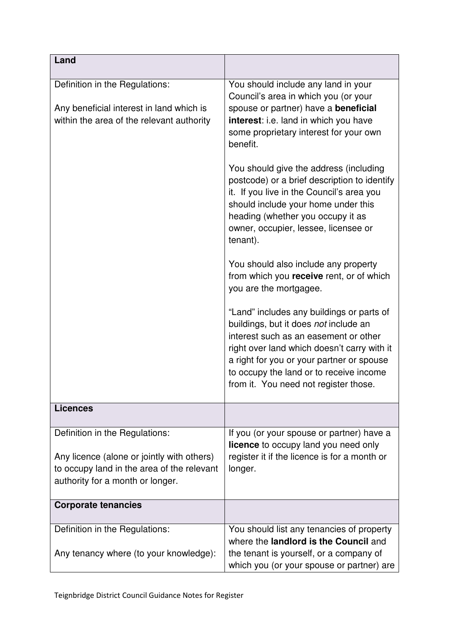| Land                                                                                                                                                           |                                                                                                                                                                                                                                                                                                             |
|----------------------------------------------------------------------------------------------------------------------------------------------------------------|-------------------------------------------------------------------------------------------------------------------------------------------------------------------------------------------------------------------------------------------------------------------------------------------------------------|
| Definition in the Regulations:<br>Any beneficial interest in land which is<br>within the area of the relevant authority                                        | You should include any land in your<br>Council's area in which you (or your<br>spouse or partner) have a beneficial<br>interest: i.e. land in which you have<br>some proprietary interest for your own<br>benefit.                                                                                          |
|                                                                                                                                                                | You should give the address (including<br>postcode) or a brief description to identify<br>it. If you live in the Council's area you<br>should include your home under this<br>heading (whether you occupy it as<br>owner, occupier, lessee, licensee or<br>tenant).                                         |
|                                                                                                                                                                | You should also include any property<br>from which you receive rent, or of which<br>you are the mortgagee.                                                                                                                                                                                                  |
|                                                                                                                                                                | "Land" includes any buildings or parts of<br>buildings, but it does not include an<br>interest such as an easement or other<br>right over land which doesn't carry with it<br>a right for you or your partner or spouse<br>to occupy the land or to receive income<br>from it. You need not register those. |
| <b>Licences</b>                                                                                                                                                |                                                                                                                                                                                                                                                                                                             |
| Definition in the Regulations:<br>Any licence (alone or jointly with others)<br>to occupy land in the area of the relevant<br>authority for a month or longer. | If you (or your spouse or partner) have a<br>licence to occupy land you need only<br>register it if the licence is for a month or<br>longer.                                                                                                                                                                |
| <b>Corporate tenancies</b>                                                                                                                                     |                                                                                                                                                                                                                                                                                                             |
| Definition in the Regulations:<br>Any tenancy where (to your knowledge):                                                                                       | You should list any tenancies of property<br>where the landlord is the Council and<br>the tenant is yourself, or a company of<br>which you (or your spouse or partner) are                                                                                                                                  |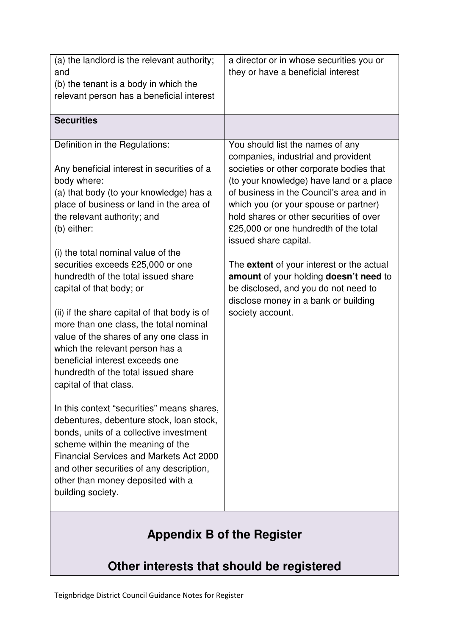| (a) the landlord is the relevant authority;<br>and<br>(b) the tenant is a body in which the<br>relevant person has a beneficial interest                                                                                                                                                                                                                                                                                                                                                                                                                                                                                                                                                                                                                                                                                                                                                                                                                                                    | a director or in whose securities you or<br>they or have a beneficial interest                                                                                                                                                                                                                                                                                                                                                                                                                                                                                      |
|---------------------------------------------------------------------------------------------------------------------------------------------------------------------------------------------------------------------------------------------------------------------------------------------------------------------------------------------------------------------------------------------------------------------------------------------------------------------------------------------------------------------------------------------------------------------------------------------------------------------------------------------------------------------------------------------------------------------------------------------------------------------------------------------------------------------------------------------------------------------------------------------------------------------------------------------------------------------------------------------|---------------------------------------------------------------------------------------------------------------------------------------------------------------------------------------------------------------------------------------------------------------------------------------------------------------------------------------------------------------------------------------------------------------------------------------------------------------------------------------------------------------------------------------------------------------------|
| <b>Securities</b>                                                                                                                                                                                                                                                                                                                                                                                                                                                                                                                                                                                                                                                                                                                                                                                                                                                                                                                                                                           |                                                                                                                                                                                                                                                                                                                                                                                                                                                                                                                                                                     |
| Definition in the Regulations:<br>Any beneficial interest in securities of a<br>body where:<br>(a) that body (to your knowledge) has a<br>place of business or land in the area of<br>the relevant authority; and<br>(b) either:<br>(i) the total nominal value of the<br>securities exceeds £25,000 or one<br>hundredth of the total issued share<br>capital of that body; or<br>(ii) if the share capital of that body is of<br>more than one class, the total nominal<br>value of the shares of any one class in<br>which the relevant person has a<br>beneficial interest exceeds one<br>hundredth of the total issued share<br>capital of that class.<br>In this context "securities" means shares,<br>debentures, debenture stock, loan stock,<br>bonds, units of a collective investment<br>scheme within the meaning of the<br><b>Financial Services and Markets Act 2000</b><br>and other securities of any description,<br>other than money deposited with a<br>building society. | You should list the names of any<br>companies, industrial and provident<br>societies or other corporate bodies that<br>(to your knowledge) have land or a place<br>of business in the Council's area and in<br>which you (or your spouse or partner)<br>hold shares or other securities of over<br>£25,000 or one hundredth of the total<br>issued share capital.<br>The <b>extent</b> of your interest or the actual<br>amount of your holding doesn't need to<br>be disclosed, and you do not need to<br>disclose money in a bank or building<br>society account. |

# **Appendix B of the Register**

# **Other interests that should be registered**